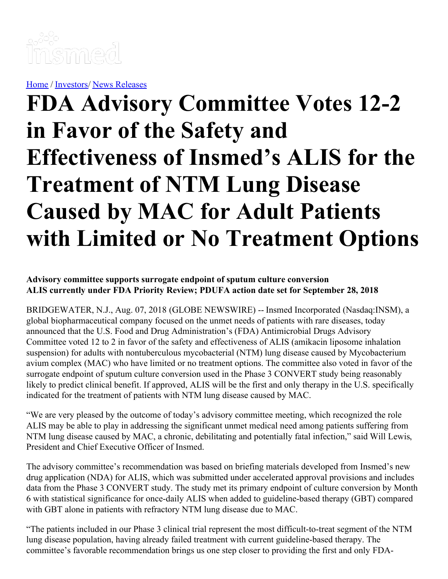

[Home](https://insmed.com/) / [Investors](https://investor.insmed.com/index)/ News [Releases](https://investor.insmed.com/releases)

# **FDA Advisory Committee Votes 12-2 in Favor of the Safety and Effectiveness of Insmed's ALIS for the Treatment of NTM Lung Disease Caused by MAC for Adult Patients with Limited or No Treatment Options**

## **Advisory committee supports surrogate endpoint of sputum culture conversion ALIS currently under FDA Priority Review; PDUFA action date set for September 28, 2018**

BRIDGEWATER, N.J., Aug. 07, 2018 (GLOBE NEWSWIRE) -- Insmed Incorporated (Nasdaq:INSM), a global biopharmaceutical company focused on the unmet needs of patients with rare diseases, today announced that the U.S. Food and Drug Administration's (FDA) Antimicrobial Drugs Advisory Committee voted 12 to 2 in favor of the safety and effectiveness of ALIS (amikacin liposome inhalation suspension) for adults with nontuberculous mycobacterial (NTM) lung disease caused by Mycobacterium avium complex (MAC) who have limited or no treatment options. The committee also voted in favor of the surrogate endpoint of sputum culture conversion used in the Phase 3 CONVERT study being reasonably likely to predict clinical benefit. If approved, ALIS will be the first and only therapy in the U.S. specifically indicated for the treatment of patients with NTM lung disease caused by MAC.

"We are very pleased by the outcome of today's advisory committee meeting, which recognized the role ALIS may be able to play in addressing the significant unmet medical need among patients suffering from NTM lung disease caused by MAC, a chronic, debilitating and potentially fatal infection," said Will Lewis, President and Chief Executive Officer of Insmed.

The advisory committee's recommendation was based on briefing materials developed from Insmed's new drug application (NDA) for ALIS, which was submitted under accelerated approval provisions and includes data from the Phase 3 CONVERT study. The study met its primary endpoint of culture conversion by Month 6 with statistical significance for once-daily ALIS when added to guideline-based therapy (GBT) compared with GBT alone in patients with refractory NTM lung disease due to MAC.

"The patients included in our Phase 3 clinical trial represent the most difficult-to-treat segment of the NTM lung disease population, having already failed treatment with current guideline-based therapy. The committee's favorable recommendation brings us one step closer to providing the first and only FDA-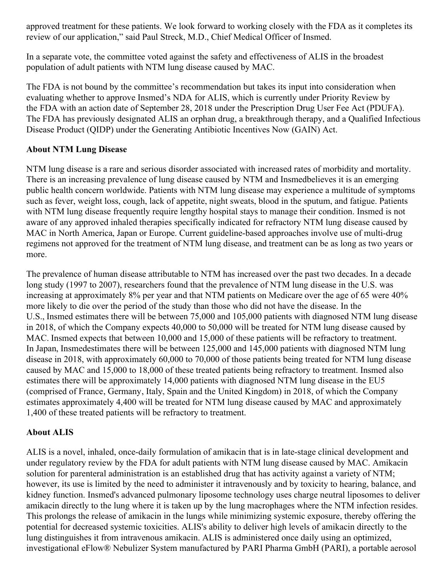approved treatment for these patients. We look forward to working closely with the FDA as it completes its review of our application," said Paul Streck, M.D., Chief Medical Officer of Insmed.

In a separate vote, the committee voted against the safety and effectiveness of ALIS in the broadest population of adult patients with NTM lung disease caused by MAC.

The FDA is not bound by the committee's recommendation but takes its input into consideration when evaluating whether to approve Insmed's NDA for ALIS, which is currently under Priority Review by the FDA with an action date of September 28, 2018 under the Prescription Drug User Fee Act (PDUFA). The FDA has previously designated ALIS an orphan drug, a breakthrough therapy, and a Qualified Infectious Disease Product (QIDP) under the Generating Antibiotic Incentives Now (GAIN) Act.

## **About NTM Lung Disease**

NTM lung disease is a rare and serious disorder associated with increased rates of morbidity and mortality. There is an increasing prevalence of lung disease caused by NTM and Insmedbelieves it is an emerging public health concern worldwide. Patients with NTM lung disease may experience a multitude of symptoms such as fever, weight loss, cough, lack of appetite, night sweats, blood in the sputum, and fatigue. Patients with NTM lung disease frequently require lengthy hospital stays to manage their condition. Insmed is not aware of any approved inhaled therapies specifically indicated for refractory NTM lung disease caused by MAC in North America, Japan or Europe. Current guideline-based approaches involve use of multi-drug regimens not approved for the treatment of NTM lung disease, and treatment can be as long as two years or more.

The prevalence of human disease attributable to NTM has increased over the past two decades. In a decade long study (1997 to 2007), researchers found that the prevalence of NTM lung disease in the U.S. was increasing at approximately 8% per year and that NTM patients on Medicare over the age of 65 were 40% more likely to die over the period of the study than those who did not have the disease. In the U.S., Insmed estimates there will be between 75,000 and 105,000 patients with diagnosed NTM lung disease in 2018, of which the Company expects 40,000 to 50,000 will be treated for NTM lung disease caused by MAC. Insmed expects that between 10,000 and 15,000 of these patients will be refractory to treatment. In Japan, Insmedestimates there will be between 125,000 and 145,000 patients with diagnosed NTM lung disease in 2018, with approximately 60,000 to 70,000 of those patients being treated for NTM lung disease caused by MAC and 15,000 to 18,000 of these treated patients being refractory to treatment. Insmed also estimates there will be approximately 14,000 patients with diagnosed NTM lung disease in the EU5 (comprised of France, Germany, Italy, Spain and the United Kingdom) in 2018, of which the Company estimates approximately 4,400 will be treated for NTM lung disease caused by MAC and approximately 1,400 of these treated patients will be refractory to treatment.

# **About ALIS**

ALIS is a novel, inhaled, once-daily formulation of amikacin that is in late-stage clinical development and under regulatory review by the FDA for adult patients with NTM lung disease caused by MAC. Amikacin solution for parenteral administration is an established drug that has activity against a variety of NTM; however, its use is limited by the need to administer it intravenously and by toxicity to hearing, balance, and kidney function. Insmed's advanced pulmonary liposome technology uses charge neutral liposomes to deliver amikacin directly to the lung where it is taken up by the lung macrophages where the NTM infection resides. This prolongs the release of amikacin in the lungs while minimizing systemic exposure, thereby offering the potential for decreased systemic toxicities. ALIS's ability to deliver high levels of amikacin directly to the lung distinguishes it from intravenous amikacin. ALIS is administered once daily using an optimized, investigational eFlow® Nebulizer System manufactured by PARI Pharma GmbH (PARI), a portable aerosol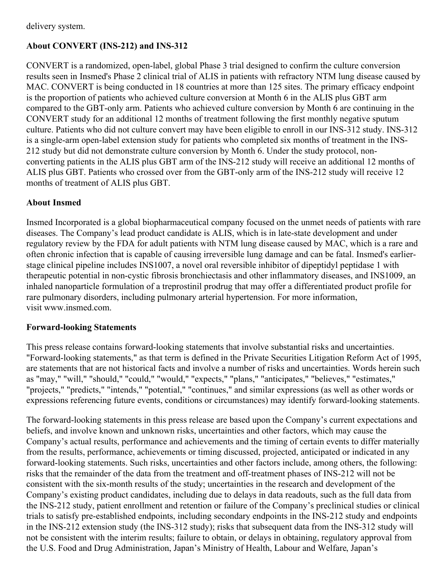## **About CONVERT (INS-212) and INS-312**

CONVERT is a randomized, open-label, global Phase 3 trial designed to confirm the culture conversion results seen in Insmed's Phase 2 clinical trial of ALIS in patients with refractory NTM lung disease caused by MAC. CONVERT is being conducted in 18 countries at more than 125 sites. The primary efficacy endpoint is the proportion of patients who achieved culture conversion at Month 6 in the ALIS plus GBT arm compared to the GBT-only arm. Patients who achieved culture conversion by Month 6 are continuing in the CONVERT study for an additional 12 months of treatment following the first monthly negative sputum culture. Patients who did not culture convert may have been eligible to enroll in our INS-312 study. INS-312 is a single-arm open-label extension study for patients who completed six months of treatment in the INS-212 study but did not demonstrate culture conversion by Month 6. Under the study protocol, nonconverting patients in the ALIS plus GBT arm of the INS-212 study will receive an additional 12 months of ALIS plus GBT. Patients who crossed over from the GBT-only arm of the INS-212 study will receive 12 months of treatment of ALIS plus GBT.

### **About Insmed**

Insmed Incorporated is a global biopharmaceutical company focused on the unmet needs of patients with rare diseases. The Company's lead product candidate is ALIS, which is in late-state development and under regulatory review by the FDA for adult patients with NTM lung disease caused by MAC, which is a rare and often chronic infection that is capable of causing irreversible lung damage and can be fatal. Insmed's earlierstage clinical pipeline includes INS1007, a novel oral reversible inhibitor of dipeptidyl peptidase 1 with therapeutic potential in non-cystic fibrosis bronchiectasis and other inflammatory diseases, and INS1009, an inhaled nanoparticle formulation of a treprostinil prodrug that may offer a differentiated product profile for rare pulmonary disorders, including pulmonary arterial hypertension. For more information, visit www.insmed.com.

#### **Forward-looking Statements**

This press release contains forward-looking statements that involve substantial risks and uncertainties. "Forward-looking statements," as that term is defined in the Private Securities Litigation Reform Act of 1995, are statements that are not historical facts and involve a number of risks and uncertainties. Words herein such as "may," "will," "should," "could," "would," "expects," "plans," "anticipates," "believes," "estimates," "projects," "predicts," "intends," "potential," "continues," and similar expressions (as well as other words or expressions referencing future events, conditions or circumstances) may identify forward-looking statements.

The forward-looking statements in this press release are based upon the Company's current expectations and beliefs, and involve known and unknown risks, uncertainties and other factors, which may cause the Company's actual results, performance and achievements and the timing of certain events to differ materially from the results, performance, achievements or timing discussed, projected, anticipated or indicated in any forward-looking statements. Such risks, uncertainties and other factors include, among others, the following: risks that the remainder of the data from the treatment and off-treatment phases of INS-212 will not be consistent with the six-month results of the study; uncertainties in the research and development of the Company's existing product candidates, including due to delays in data readouts, such as the full data from the INS-212 study, patient enrollment and retention or failure of the Company's preclinical studies or clinical trials to satisfy pre-established endpoints, including secondary endpoints in the INS-212 study and endpoints in the INS-212 extension study (the INS-312 study); risks that subsequent data from the INS-312 study will not be consistent with the interim results; failure to obtain, or delays in obtaining, regulatory approval from the U.S. Food and Drug Administration, Japan's Ministry of Health, Labour and Welfare, Japan's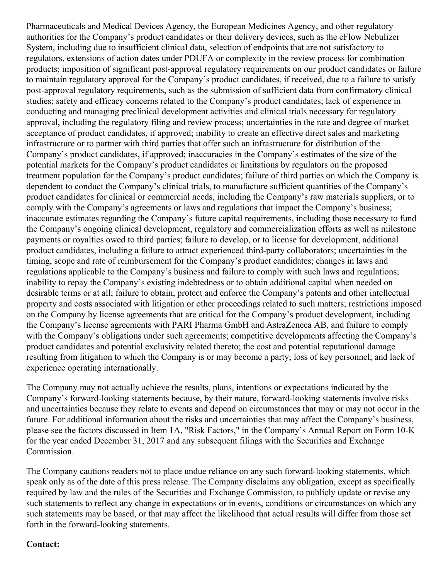Pharmaceuticals and Medical Devices Agency, the European Medicines Agency, and other regulatory authorities for the Company's product candidates or their delivery devices, such as the eFlow Nebulizer System, including due to insufficient clinical data, selection of endpoints that are not satisfactory to regulators, extensions of action dates under PDUFA or complexity in the review process for combination products; imposition of significant post-approval regulatory requirements on our product candidates or failure to maintain regulatory approval for the Company's product candidates, if received, due to a failure to satisfy post-approval regulatory requirements, such as the submission of sufficient data from confirmatory clinical studies; safety and efficacy concerns related to the Company's product candidates; lack of experience in conducting and managing preclinical development activities and clinical trials necessary for regulatory approval, including the regulatory filing and review process; uncertainties in the rate and degree of market acceptance of product candidates, if approved; inability to create an effective direct sales and marketing infrastructure or to partner with third parties that offer such an infrastructure for distribution of the Company's product candidates, if approved; inaccuracies in the Company's estimates of the size of the potential markets for the Company's product candidates or limitations by regulators on the proposed treatment population for the Company's product candidates; failure of third parties on which the Company is dependent to conduct the Company's clinical trials, to manufacture sufficient quantities of the Company's product candidates for clinical or commercial needs, including the Company's raw materials suppliers, or to comply with the Company's agreements or laws and regulations that impact the Company's business; inaccurate estimates regarding the Company's future capital requirements, including those necessary to fund the Company's ongoing clinical development, regulatory and commercialization efforts as well as milestone payments or royalties owed to third parties; failure to develop, or to license for development, additional product candidates, including a failure to attract experienced third-party collaborators; uncertainties in the timing, scope and rate of reimbursement for the Company's product candidates; changes in laws and regulations applicable to the Company's business and failure to comply with such laws and regulations; inability to repay the Company's existing indebtedness or to obtain additional capital when needed on desirable terms or at all; failure to obtain, protect and enforce the Company's patents and other intellectual property and costs associated with litigation or other proceedings related to such matters; restrictions imposed on the Company by license agreements that are critical for the Company's product development, including the Company's license agreements with PARI Pharma GmbH and AstraZeneca AB, and failure to comply with the Company's obligations under such agreements; competitive developments affecting the Company's product candidates and potential exclusivity related thereto; the cost and potential reputational damage resulting from litigation to which the Company is or may become a party; loss of key personnel; and lack of experience operating internationally.

The Company may not actually achieve the results, plans, intentions or expectations indicated by the Company's forward-looking statements because, by their nature, forward-looking statements involve risks and uncertainties because they relate to events and depend on circumstances that may or may not occur in the future. For additional information about the risks and uncertainties that may affect the Company's business, please see the factors discussed in Item 1A, "Risk Factors," in the Company's Annual Report on Form 10-K for the year ended December 31, 2017 and any subsequent filings with the Securities and Exchange Commission.

The Company cautions readers not to place undue reliance on any such forward-looking statements, which speak only as of the date of this press release. The Company disclaims any obligation, except as specifically required by law and the rules of the Securities and Exchange Commission, to publicly update or revise any such statements to reflect any change in expectations or in events, conditions or circumstances on which any such statements may be based, or that may affect the likelihood that actual results will differ from those set forth in the forward-looking statements.

#### **Contact:**